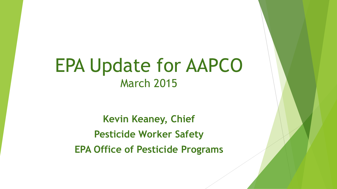# EPA Update for AAPCO March 2015

**Kevin Keaney, Chief Pesticide Worker Safety EPA Office of Pesticide Programs**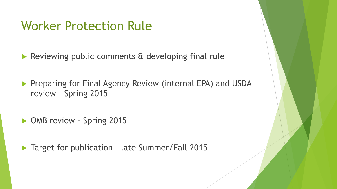#### Worker Protection Rule

Reviewing public comments & developing final rule

**Preparing for Final Agency Review (internal EPA) and USDA** review – Spring 2015

• OMB review - Spring 2015

▶ Target for publication - late Summer/Fall 2015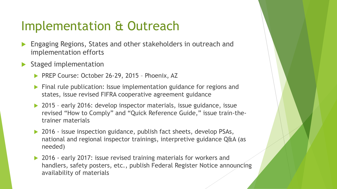### Implementation & Outreach

- Engaging Regions, States and other stakeholders in outreach and implementation efforts
- Staged implementation
	- ▶ PREP Course: October 26-29, 2015 Phoenix, AZ
	- **Final rule publication: Issue implementation guidance for regions and** states, issue revised FIFRA cooperative agreement guidance
	- ▶ 2015 early 2016: develop inspector materials, issue guidance, issue revised "How to Comply" and "Quick Reference Guide," issue train-thetrainer materials
	- ▶ 2016 issue inspection guidance, publish fact sheets, develop PSAs, national and regional inspector trainings, interpretive guidance Q&A (as needed)
	- ▶ 2016 early 2017: issue revised training materials for workers and handlers, safety posters, etc., publish Federal Register Notice announcing availability of materials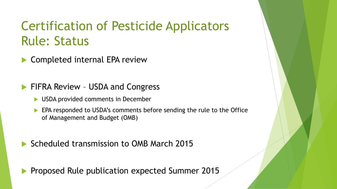## Certification of Pesticide Applicators Rule: Status

- Completed internal EPA review
- FIFRA Review USDA and Congress
	- **► USDA provided comments in December**
	- **EPA responded to USDA's comments before sending the rule to the Office** of Management and Budget (OMB)
- Scheduled transmission to OMB March 2015

Proposed Rule publication expected Summer 2015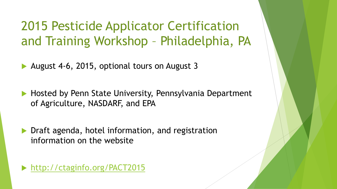2015 Pesticide Applicator Certification and Training Workshop – Philadelphia, PA

- August 4-6, 2015, optional tours on August 3
- Hosted by Penn State University, Pennsylvania Department of Agriculture, NASDARF, and EPA
- Draft agenda, hotel information, and registration information on the website

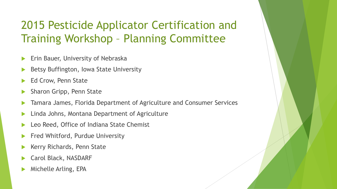#### 2015 Pesticide Applicator Certification and Training Workshop – Planning Committee

- Erin Bauer, University of Nebraska
- Betsy Buffington, Iowa State University
- Ed Crow, Penn State
- Sharon Gripp, Penn State
- Tamara James, Florida Department of Agriculture and Consumer Services
- Linda Johns, Montana Department of Agriculture
- Leo Reed, Office of Indiana State Chemist
- Fred Whitford, Purdue University
- Kerry Richards, Penn State
- Carol Black, NASDARF
- Michelle Arling, EPA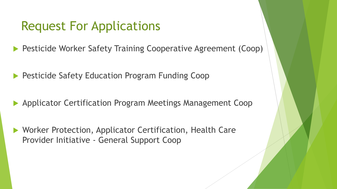#### Request For Applications

Pesticide Worker Safety Training Cooperative Agreement (Coop)

Pesticide Safety Education Program Funding Coop

Applicator Certification Program Meetings Management Coop

▶ Worker Protection, Applicator Certification, Health Care Provider Initiative - General Support Coop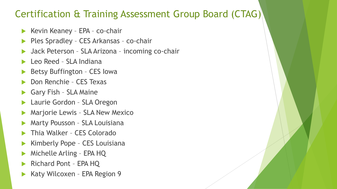#### Certification & Training Assessment Group Board (CTAG)

- $\blacktriangleright$  Kevin Keaney EPA co-chair
- Ples Spradley CES Arkansas co-chair
- Jack Peterson SLA Arizona incoming co-chair
- Leo Reed SLA Indiana
- Betsy Buffington CES Iowa
- Don Renchie CES Texas
- Gary Fish SLA Maine
- Laurie Gordon SLA Oregon
- Marjorie Lewis SLA New Mexico
- Marty Pousson SLA Louisiana
- Thia Walker CES Colorado
- Kimberly Pope CES Louisiana
- Michelle Arling EPA HQ
- Richard Pont EPA HQ
- Katy Wilcoxen EPA Region 9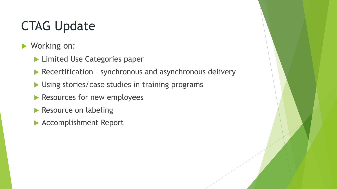# CTAG Update

- ▶ Working on:
	- **Limited Use Categories paper**
	- Recertification synchronous and asynchronous delivery
	- Using stories/case studies in training programs
	- Resources for new employees
	- Resource on labeling
	- Accomplishment Report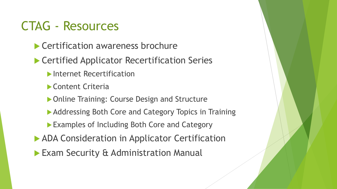#### CTAG - Resources

- Certification awareness brochure
- ▶ Certified Applicator Recertification Series
	- **Internet Recertification**
	- Content Criteria
	- ▶ Online Training: Course Design and Structure
	- ▶ Addressing Both Core and Category Topics in Training
	- **Examples of Including Both Core and Category**
- **ADA Consideration in Applicator Certification**
- **Exam Security & Administration Manual**